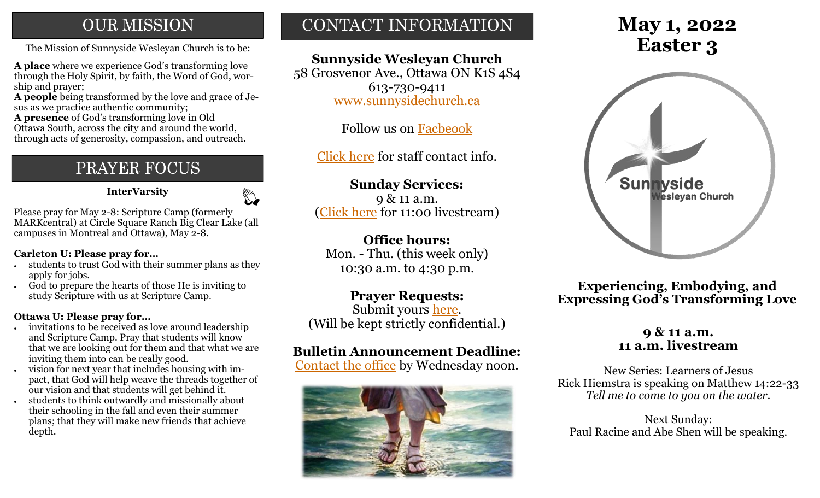## **OUR MISSION**

The Mission of Sunnyside Wesleyan Church is to be: **Easter 3** 

**A place** where we experience God's transforming love through the Holy Spirit, by faith, the Word of God, worship and prayer;

**A people** being transformed by the love and grace of Jesus as we practice authentic community;

**A presence** of God's transforming love in Old Ottawa South, across the city and around the world, through acts of generosity, compassion, and outreach.

## PRAYER FOCUS

 **InterVarsity**

## $\mathbb{Z}$

Please pray for May 2-8: Scripture Camp (formerly MARKcentral) at Circle Square Ranch Big Clear Lake (all campuses in Montreal and Ottawa), May 2-8.

#### **Carleton U: Please pray for…**

- students to trust God with their summer plans as they apply for jobs.
- God to prepare the hearts of those He is inviting to study Scripture with us at Scripture Camp.

#### **Ottawa U: Please pray for…**

- invitations to be received as love around leadership and Scripture Camp. Pray that students will know that we are looking out for them and that what we are inviting them into can be really good.
- vision for next year that includes housing with impact, that God will help weave the threads together of our vision and that students will get behind it.
- students to think outwardly and missionally about their schooling in the fall and even their summer plans; that they will make new friends that achieve depth.

## CONTACT INFORMATION

## **Sunnyside Wesleyan Church**

58 Grosvenor Ave., Ottawa ON K1S 4S4 613-730-9411 [www.sunnysidechurch.ca](http://www.sunnysidechurch.ca)

Follow us on [Facbeook](http://www.facebook.com/sunnysidewesleyanchurch)

[Click here](http://www.sunnysidechurch.ca/about-sunnyside/staff/) for staff contact info.

## **Sunday Services:**

9 & 11 a.m. [\(Click here](https://youtube.com/channel/UCYfl9Qy37Az7fqqFQpDEwjg) for 11:00 livestream)

## **Office hours:**

Mon. - Thu. (this week only) 10:30 a.m. to 4:30 p.m.

## **Prayer Requests:**

Submit yours [here.](mailto:prayer@sunnysidechurch.ca) (Will be kept strictly confidential.)

## **Bulletin Announcement Deadline:**

[Contact the office](mailto:office@sunnysidechurch.ca) by Wednesday noon.



# **May 1, 2022**



**Experiencing, Embodying, and Expressing God's Transforming Love**

## **9 & 11 a.m. 11 a.m. livestream**

New Series: Learners of Jesus Rick Hiemstra is speaking on Matthew 14:22-33 *Tell me to come to you on the water.*

Next Sunday: Paul Racine and Abe Shen will be speaking.